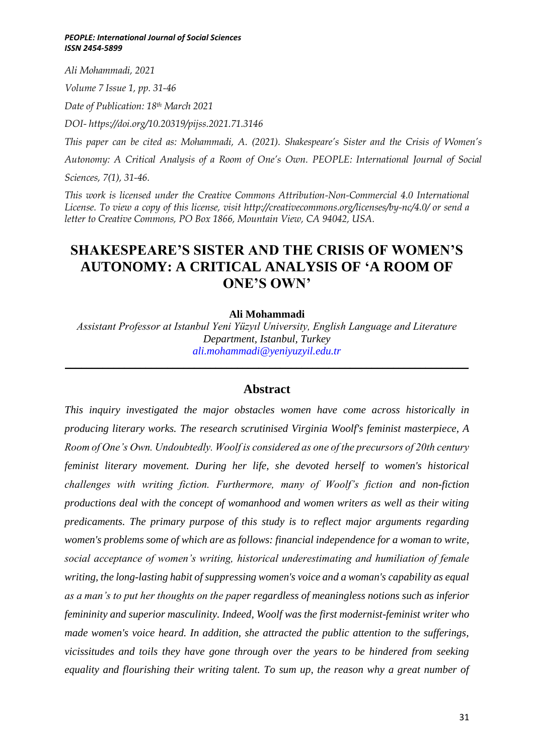*Ali Mohammadi, 2021*

*Volume 7 Issue 1, pp. 31-46*

*Date of Publication: 18th March 2021*

*DOI- https://doi.org/10.20319/pijss.2021.71.3146*

*This paper can be cited as: Mohammadi, A. (2021). Shakespeare's Sister and the Crisis of Women's*

*Autonomy: A Critical Analysis of a Room of One's Own. PEOPLE: International Journal of Social* 

*Sciences, 7(1), 31-46.*

*This work is licensed under the Creative Commons Attribution-Non-Commercial 4.0 International License. To view a copy of this license, visit http://creativecommons.org/licenses/by-nc/4.0/ or send a letter to Creative Commons, PO Box 1866, Mountain View, CA 94042, USA.*

# **SHAKESPEARE'S SISTER AND THE CRISIS OF WOMEN'S AUTONOMY: A CRITICAL ANALYSIS OF 'A ROOM OF ONE'S OWN'**

### **Ali Mohammadi**

*Assistant Professor at Istanbul Yeni Yüzyıl University, English Language and Literature Department, Istanbul, Turkey [ali.mohammadi@yeniyuzyil.edu.tr](file:///C:/Users/kymya/Downloads/ali.mohammadi@yeniyuzyil.edu.tr)*

### **Abstract**

*\_\_\_\_\_\_\_\_\_\_\_\_\_\_\_\_\_\_\_\_\_\_\_\_\_\_\_\_\_\_\_\_\_\_\_\_\_\_\_\_\_\_\_\_\_\_\_\_\_\_\_\_\_\_\_\_\_\_\_\_\_\_\_\_\_\_\_\_\_\_\_\_\_\_\_*

*This inquiry investigated the major obstacles women have come across historically in producing literary works. The research scrutinised Virginia Woolf's feminist masterpiece, A Room of One's Own. Undoubtedly. Woolf is considered as one of the precursors of 20th century feminist literary movement. During her life, she devoted herself to women's historical challenges with writing fiction. Furthermore, many of Woolf's fiction and non-fiction productions deal with the concept of womanhood and women writers as well as their witing predicaments. The primary purpose of this study is to reflect major arguments regarding women's problems some of which are as follows: financial independence for a woman to write, social acceptance of women's writing, historical underestimating and humiliation of female writing, the long-lasting habit of suppressing women's voice and a woman's capability as equal as a man's to put her thoughts on the paper regardless of meaningless notions such as inferior femininity and superior masculinity. Indeed, Woolf was the first modernist-feminist writer who made women's voice heard. In addition, she attracted the public attention to the sufferings, vicissitudes and toils they have gone through over the years to be hindered from seeking equality and flourishing their writing talent. To sum up, the reason why a great number of*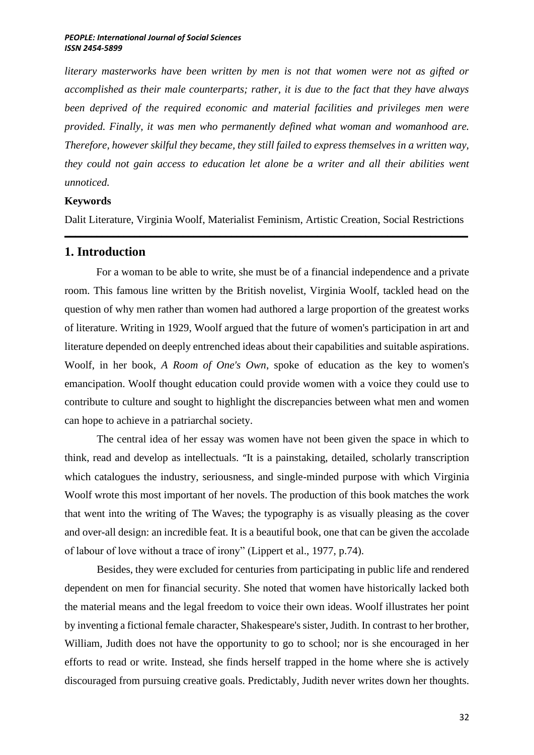*literary masterworks have been written by men is not that women were not as gifted or accomplished as their male counterparts; rather, it is due to the fact that they have always been deprived of the required economic and material facilities and privileges men were provided. Finally, it was men who permanently defined what woman and womanhood are. Therefore, however skilful they became, they still failed to express themselves in a written way, they could not gain access to education let alone be a writer and all their abilities went unnoticed.* 

### **Keywords**

Dalit Literature, Virginia Woolf, Materialist Feminism, Artistic Creation, Social Restrictions \_\_\_\_\_\_\_\_\_\_\_\_\_\_\_\_\_\_\_\_\_\_\_\_\_\_\_\_\_\_\_\_\_\_\_\_\_\_\_\_\_\_\_\_\_\_\_\_\_\_\_\_\_\_\_\_\_\_\_\_\_\_\_\_\_\_\_\_\_\_\_\_\_\_\_

### **1. Introduction**

For a woman to be able to write, she must be of a financial independence and a private room. This famous line written by the British novelist, Virginia Woolf, tackled head on the question of why men rather than women had authored a large proportion of the greatest works of literature. Writing in 1929, Woolf argued that the future of women's participation in art and literature depended on deeply entrenched ideas about their capabilities and suitable aspirations. Woolf, in her book, *A Room of One's Own*, spoke of education as the key to women's emancipation. Woolf thought education could provide women with a voice they could use to contribute to culture and sought to highlight the discrepancies between what men and women can hope to achieve in a patriarchal society.

The central idea of her essay was women have not been given the space in which to think, read and develop as intellectuals. "It is a painstaking, detailed, scholarly transcription which catalogues the industry, seriousness, and single-minded purpose with which Virginia Woolf wrote this most important of her novels. The production of this book matches the work that went into the writing of The Waves; the typography is as visually pleasing as the cover and over-all design: an incredible feat. It is a beautiful book, one that can be given the accolade of labour of love without a trace of irony" (Lippert et al., 1977, p.74).

Besides, they were excluded for centuries from participating in public life and rendered dependent on men for financial security. She noted that women have historically lacked both the material means and the legal freedom to voice their own ideas. Woolf illustrates her point by inventing a fictional female character, Shakespeare's sister, Judith. In contrast to her brother, William, Judith does not have the opportunity to go to school; nor is she encouraged in her efforts to read or write. Instead, she finds herself trapped in the home where she is actively discouraged from pursuing creative goals. Predictably, Judith never writes down her thoughts.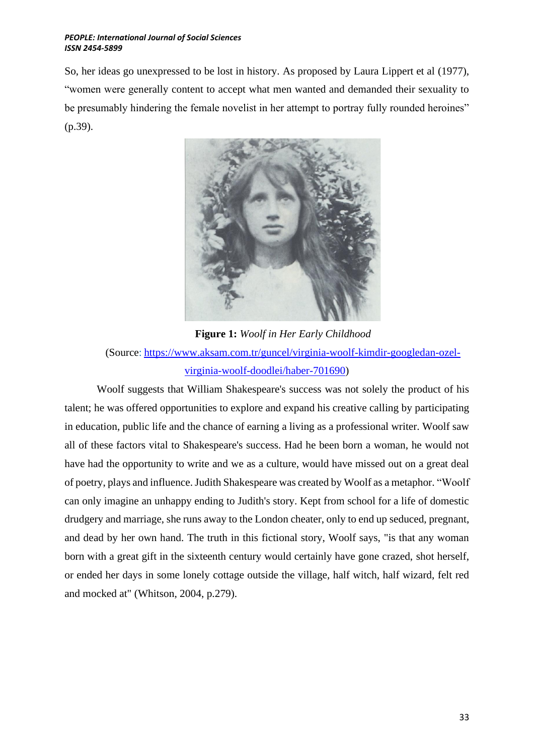So, her ideas go unexpressed to be lost in history. As proposed by Laura Lippert et al (1977), "women were generally content to accept what men wanted and demanded their sexuality to be presumably hindering the female novelist in her attempt to portray fully rounded heroines" (p.39).



**Figure 1:** *Woolf in Her Early Childhood* (Source: [https://www.aksam.com.tr/guncel/virginia-woolf-kimdir-googledan-ozel](https://www.aksam.com.tr/guncel/virginia-woolf-kimdir-googledan-ozel-virginia-woolf-doodlei/haber-701690)[virginia-woolf-doodlei/haber-701690\)](https://www.aksam.com.tr/guncel/virginia-woolf-kimdir-googledan-ozel-virginia-woolf-doodlei/haber-701690)

Woolf suggests that William Shakespeare's success was not solely the product of his talent; he was offered opportunities to explore and expand his creative calling by participating in education, public life and the chance of earning a living as a professional writer. Woolf saw all of these factors vital to Shakespeare's success. Had he been born a woman, he would not have had the opportunity to write and we as a culture, would have missed out on a great deal of poetry, plays and influence. Judith Shakespeare was created by Woolf as a metaphor. "Woolf can only imagine an unhappy ending to Judith's story. Kept from school for a life of domestic drudgery and marriage, she runs away to the London cheater, only to end up seduced, pregnant, and dead by her own hand. The truth in this fictional story, Woolf says, "is that any woman born with a great gift in the sixteenth century would certainly have gone crazed, shot herself, or ended her days in some lonely cottage outside the village, half witch, half wizard, felt red and mocked at" (Whitson, 2004, p.279).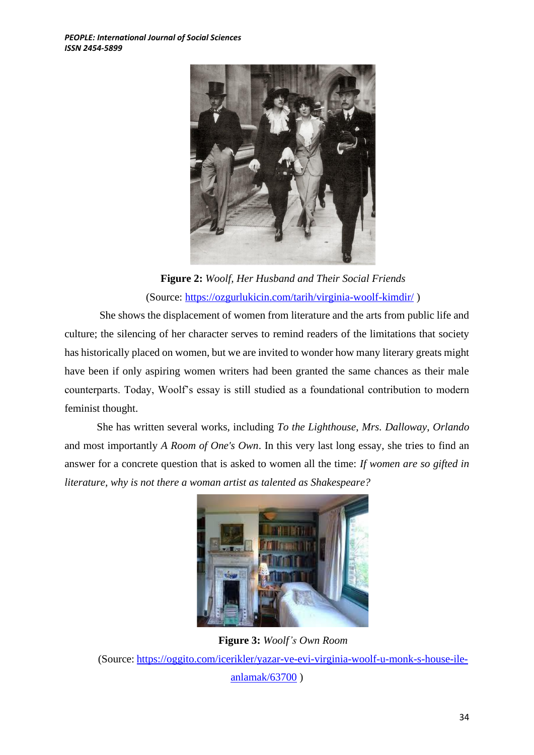

**Figure 2:** *Woolf, Her Husband and Their Social Friends* (Source:<https://ozgurlukicin.com/tarih/virginia-woolf-kimdir/> )

She shows the displacement of women from literature and the arts from public life and culture; the silencing of her character serves to remind readers of the limitations that society has historically placed on women, but we are invited to wonder how many literary greats might have been if only aspiring women writers had been granted the same chances as their male counterparts. Today, Woolf's essay is still studied as a foundational contribution to modern feminist thought.

She has written several works, including *To the Lighthouse*, *Mrs. Dalloway*, *Orlando* and most importantly *A Room of One's Own*. In this very last long essay, she tries to find an answer for a concrete question that is asked to women all the time: *If women are so gifted in literature, why is not there a woman artist as talented as Shakespeare?*



**Figure 3:** *Woolf's Own Room* (Source: [https://oggito.com/icerikler/yazar-ve-evi-virginia-woolf-u-monk-s-house-ile](https://oggito.com/icerikler/yazar-ve-evi-virginia-woolf-u-monk-s-house-ile-anlamak/63700)[anlamak/63700](https://oggito.com/icerikler/yazar-ve-evi-virginia-woolf-u-monk-s-house-ile-anlamak/63700) )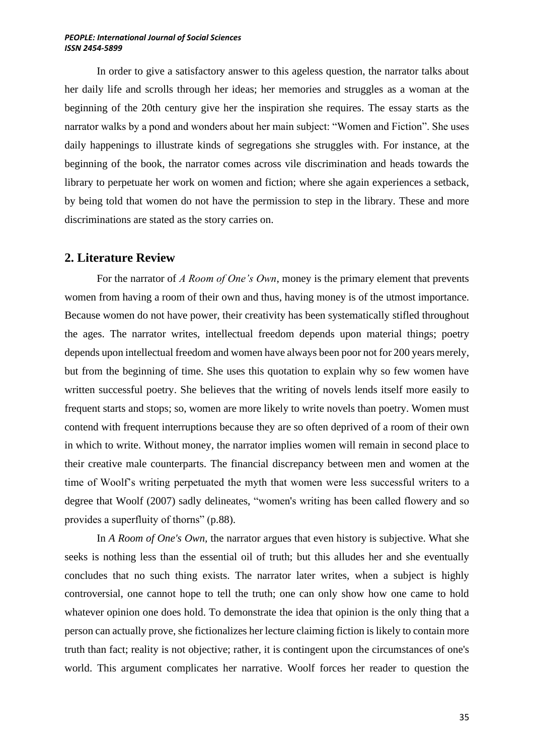In order to give a satisfactory answer to this ageless question, the narrator talks about her daily life and scrolls through her ideas; her memories and struggles as a woman at the beginning of the 20th century give her the inspiration she requires. The essay starts as the narrator walks by a pond and wonders about her main subject: "Women and Fiction". She uses daily happenings to illustrate kinds of segregations she struggles with. For instance, at the beginning of the book, the narrator comes across vile discrimination and heads towards the library to perpetuate her work on women and fiction; where she again experiences a setback, by being told that women do not have the permission to step in the library. These and more discriminations are stated as the story carries on.

### **2. Literature Review**

For the narrator of *A Room of One's Own*, money is the primary element that prevents women from having a room of their own and thus, having money is of the utmost importance. Because women do not have power, their creativity has been systematically stifled throughout the ages. The narrator writes, intellectual freedom depends upon material things; poetry depends upon intellectual freedom and women have always been poor not for 200 years merely, but from the beginning of time. She uses this quotation to explain why so few women have written successful poetry. She believes that the writing of novels lends itself more easily to frequent starts and stops; so, women are more likely to write novels than poetry. Women must contend with frequent interruptions because they are so often deprived of a room of their own in which to write. Without money, the narrator implies women will remain in second place to their creative male counterparts. The financial discrepancy between men and women at the time of Woolf's writing perpetuated the myth that women were less successful writers to a degree that Woolf (2007) sadly delineates, "women's writing has been called flowery and so provides a superfluity of thorns" (p.88).

In *A Room of One's Own,* the narrator argues that even history is subjective. What she seeks is nothing less than the essential oil of truth; but this alludes her and she eventually concludes that no such thing exists. The narrator later writes, when a subject is highly controversial, one cannot hope to tell the truth; one can only show how one came to hold whatever opinion one does hold. To demonstrate the idea that opinion is the only thing that a person can actually prove, she fictionalizes her lecture claiming fiction is likely to contain more truth than fact; reality is not objective; rather, it is contingent upon the circumstances of one's world. This argument complicates her narrative. Woolf forces her reader to question the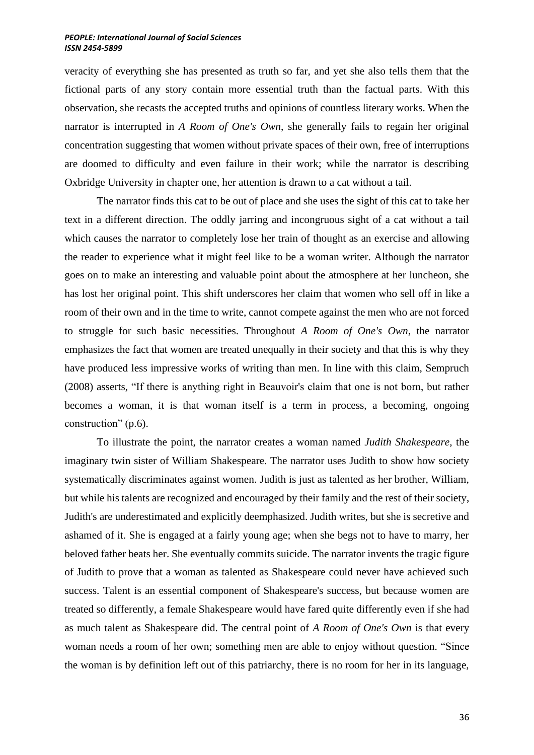veracity of everything she has presented as truth so far, and yet she also tells them that the fictional parts of any story contain more essential truth than the factual parts. With this observation, she recasts the accepted truths and opinions of countless literary works. When the narrator is interrupted in *A Room of One's Own*, she generally fails to regain her original concentration suggesting that women without private spaces of their own, free of interruptions are doomed to difficulty and even failure in their work; while the narrator is describing Oxbridge University in chapter one, her attention is drawn to a cat without a tail.

The narrator finds this cat to be out of place and she uses the sight of this cat to take her text in a different direction. The oddly jarring and incongruous sight of a cat without a tail which causes the narrator to completely lose her train of thought as an exercise and allowing the reader to experience what it might feel like to be a woman writer. Although the narrator goes on to make an interesting and valuable point about the atmosphere at her luncheon, she has lost her original point. This shift underscores her claim that women who sell off in like a room of their own and in the time to write, cannot compete against the men who are not forced to struggle for such basic necessities. Throughout *A Room of One's Own*, the narrator emphasizes the fact that women are treated unequally in their society and that this is why they have produced less impressive works of writing than men. In line with this claim, Sempruch (2008) asserts, "If there is anything right in Beauvoir's claim that one is not born, but rather becomes a woman, it is that woman itself is a term in process, a becoming, ongoing construction" (p.6).

To illustrate the point, the narrator creates a woman named *Judith Shakespeare*, the imaginary twin sister of William Shakespeare. The narrator uses Judith to show how society systematically discriminates against women. Judith is just as talented as her brother, William, but while his talents are recognized and encouraged by their family and the rest of their society, Judith's are underestimated and explicitly deemphasized. Judith writes, but she is secretive and ashamed of it. She is engaged at a fairly young age; when she begs not to have to marry, her beloved father beats her. She eventually commits suicide. The narrator invents the tragic figure of Judith to prove that a woman as talented as Shakespeare could never have achieved such success. Talent is an essential component of Shakespeare's success, but because women are treated so differently, a female Shakespeare would have fared quite differently even if she had as much talent as Shakespeare did. The central point of *A Room of One's Own* is that every woman needs a room of her own; something men are able to enjoy without question. "Since the woman is by definition left out of this patriarchy, there is no room for her in its language,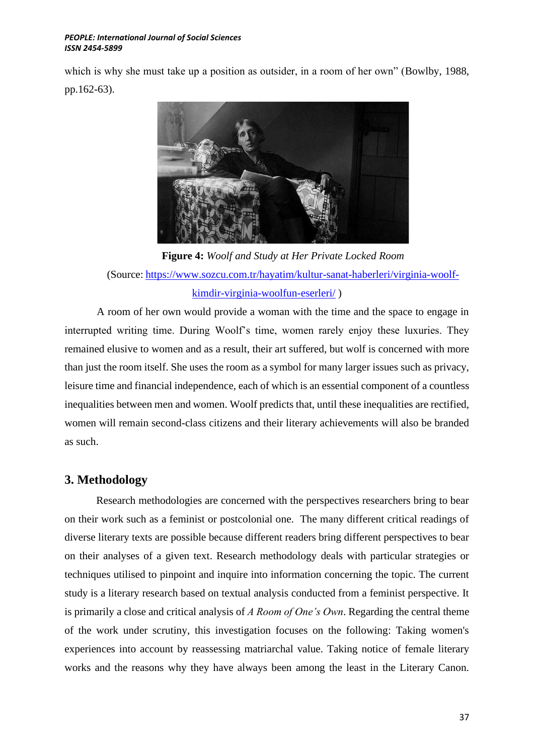which is why she must take up a position as outsider, in a room of her own" (Bowlby, 1988, pp.162-63).



**Figure 4:** *Woolf and Study at Her Private Locked Room* (Source: [https://www.sozcu.com.tr/hayatim/kultur-sanat-haberleri/virginia-woolf](https://www.sozcu.com.tr/hayatim/kultur-sanat-haberleri/virginia-woolf-kimdir-virginia-woolfun-eserleri/)[kimdir-virginia-woolfun-eserleri/](https://www.sozcu.com.tr/hayatim/kultur-sanat-haberleri/virginia-woolf-kimdir-virginia-woolfun-eserleri/) )

A room of her own would provide a woman with the time and the space to engage in interrupted writing time. During Woolf's time, women rarely enjoy these luxuries. They remained elusive to women and as a result, their art suffered, but wolf is concerned with more than just the room itself. She uses the room as a symbol for many larger issues such as privacy, leisure time and financial independence, each of which is an essential component of a countless inequalities between men and women. Woolf predicts that, until these inequalities are rectified, women will remain second-class citizens and their literary achievements will also be branded as such.

## **3. Methodology**

Research methodologies are concerned with the perspectives researchers bring to bear on their work such as a feminist or postcolonial one. The many different critical readings of diverse literary texts are possible because different readers bring different perspectives to bear on their analyses of a given text. Research methodology deals with particular strategies or techniques utilised to pinpoint and inquire into information concerning the topic. The current study is a literary research based on textual analysis conducted from a feminist perspective. It is primarily a close and critical analysis of *A Room of One's Own*. Regarding the central theme of the work under scrutiny, this investigation focuses on the following: Taking women's experiences into account by reassessing matriarchal value. Taking notice of female literary works and the reasons why they have always been among the least in the Literary Canon.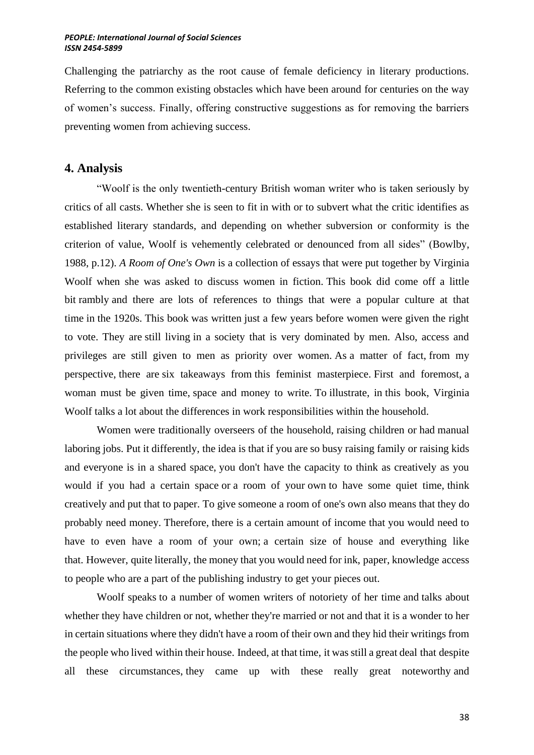Challenging the patriarchy as the root cause of female deficiency in literary productions. Referring to the common existing obstacles which have been around for centuries on the way of women's success. Finally, offering constructive suggestions as for removing the barriers preventing women from achieving success.

### **4. Analysis**

"Woolf is the only twentieth-century British woman writer who is taken seriously by critics of all casts. Whether she is seen to fit in with or to subvert what the critic identifies as established literary standards, and depending on whether subversion or conformity is the criterion of value, Woolf is vehemently celebrated or denounced from all sides" (Bowlby, 1988, p.12). *A Room of One's Own* is a collection of essays that were put together by Virginia Woolf when she was asked to discuss women in fiction. This book did come off a little bit rambly and there are lots of references to things that were a popular culture at that time in the 1920s. This book was written just a few years before women were given the right to vote. They are still living in a society that is very dominated by men. Also, access and privileges are still given to men as priority over women. As a matter of fact, from my perspective, there are six takeaways from this feminist masterpiece. First and foremost, a woman must be given time, space and money to write. To illustrate, in this book, Virginia Woolf talks a lot about the differences in work responsibilities within the household.

Women were traditionally overseers of the household, raising children or had manual laboring jobs. Put it differently, the idea is that if you are so busy raising family or raising kids and everyone is in a shared space, you don't have the capacity to think as creatively as you would if you had a certain space or a room of your own to have some quiet time, think creatively and put that to paper. To give someone a room of one's own also means that they do probably need money. Therefore, there is a certain amount of income that you would need to have to even have a room of your own; a certain size of house and everything like that. However, quite literally, the money that you would need for ink, paper, knowledge access to people who are a part of the publishing industry to get your pieces out.

Woolf speaks to a number of women writers of notoriety of her time and talks about whether they have children or not, whether they're married or not and that it is a wonder to her in certain situations where they didn't have a room of their own and they hid their writings from the people who lived within their house. Indeed, at that time, it was still a great deal that despite all these circumstances, they came up with these really great noteworthy and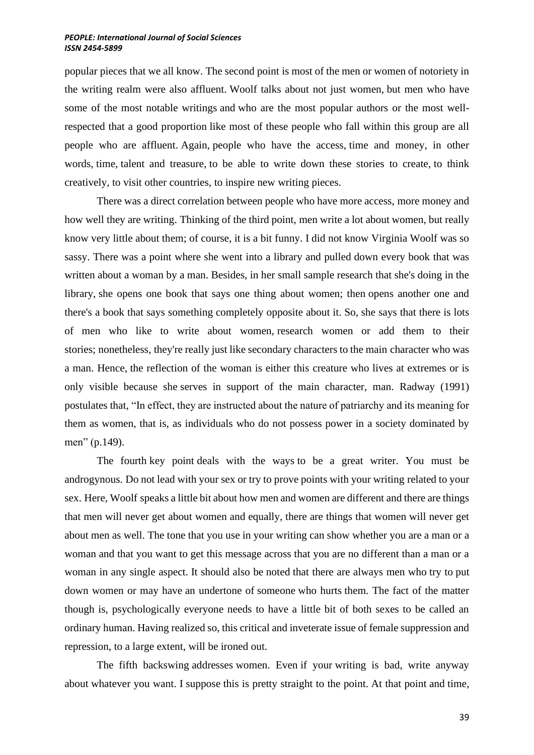popular pieces that we all know. The second point is most of the men or women of notoriety in the writing realm were also affluent. Woolf talks about not just women, but men who have some of the most notable writings and who are the most popular authors or the most wellrespected that a good proportion like most of these people who fall within this group are all people who are affluent. Again, people who have the access, time and money, in other words, time, talent and treasure, to be able to write down these stories to create, to think creatively, to visit other countries, to inspire new writing pieces.

There was a direct correlation between people who have more access, more money and how well they are writing. Thinking of the third point, men write a lot about women, but really know very little about them; of course, it is a bit funny. I did not know Virginia Woolf was so sassy. There was a point where she went into a library and pulled down every book that was written about a woman by a man. Besides, in her small sample research that she's doing in the library, she opens one book that says one thing about women; then opens another one and there's a book that says something completely opposite about it. So, she says that there is lots of men who like to write about women, research women or add them to their stories; nonetheless, they're really just like secondary characters to the main character who was a man. Hence, the reflection of the woman is either this creature who lives at extremes or is only visible because she serves in support of the main character, man. Radway (1991) postulates that, "In effect, they are instructed about the nature of patriarchy and its meaning for them as women, that is, as individuals who do not possess power in a society dominated by men" (p.149).

The fourth key point deals with the ways to be a great writer. You must be androgynous. Do not lead with your sex or try to prove points with your writing related to your sex. Here, Woolf speaks a little bit about how men and women are different and there are things that men will never get about women and equally, there are things that women will never get about men as well. The tone that you use in your writing can show whether you are a man or a woman and that you want to get this message across that you are no different than a man or a woman in any single aspect. It should also be noted that there are always men who try to put down women or may have an undertone of someone who hurts them. The fact of the matter though is, psychologically everyone needs to have a little bit of both sexes to be called an ordinary human. Having realized so, this critical and inveterate issue of female suppression and repression, to a large extent, will be ironed out.

The fifth backswing addresses women. Even if your writing is bad, write anyway about whatever you want. I suppose this is pretty straight to the point. At that point and time,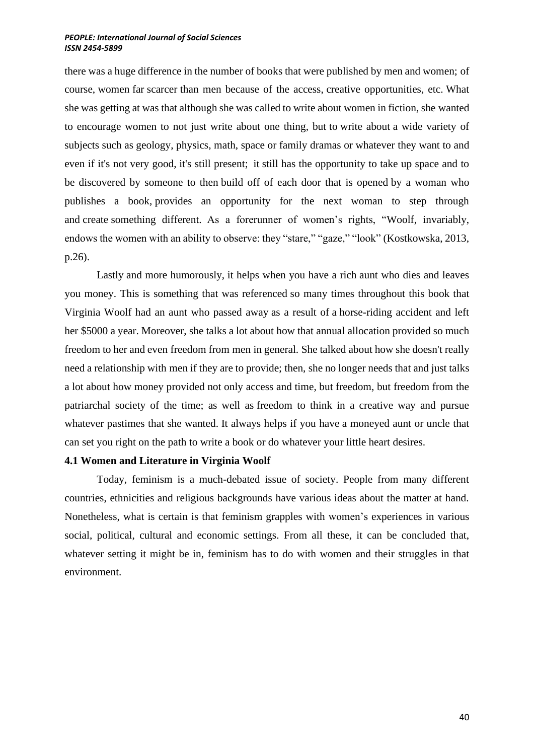there was a huge difference in the number of books that were published by men and women; of course, women far scarcer than men because of the access, creative opportunities, etc. What she was getting at was that although she was called to write about women in fiction, she wanted to encourage women to not just write about one thing, but to write about a wide variety of subjects such as geology, physics, math, space or family dramas or whatever they want to and even if it's not very good, it's still present; it still has the opportunity to take up space and to be discovered by someone to then build off of each door that is opened by a woman who publishes a book, provides an opportunity for the next woman to step through and create something different. As a forerunner of women's rights, "Woolf, invariably, endows the women with an ability to observe: they "stare," "gaze," "look" (Kostkowska, 2013, p.26).

Lastly and more humorously, it helps when you have a rich aunt who dies and leaves you money. This is something that was referenced so many times throughout this book that Virginia Woolf had an aunt who passed away as a result of a horse-riding accident and left her \$5000 a year. Moreover, she talks a lot about how that annual allocation provided so much freedom to her and even freedom from men in general. She talked about how she doesn't really need a relationship with men if they are to provide; then, she no longer needs that and just talks a lot about how money provided not only access and time, but freedom, but freedom from the patriarchal society of the time; as well as freedom to think in a creative way and pursue whatever pastimes that she wanted. It always helps if you have a moneyed aunt or uncle that can set you right on the path to write a book or do whatever your little heart desires.

### **4.1 Women and Literature in Virginia Woolf**

Today, feminism is a much-debated issue of society. People from many different countries, ethnicities and religious backgrounds have various ideas about the matter at hand. Nonetheless, what is certain is that feminism grapples with women's experiences in various social, political, cultural and economic settings. From all these, it can be concluded that, whatever setting it might be in, feminism has to do with women and their struggles in that environment.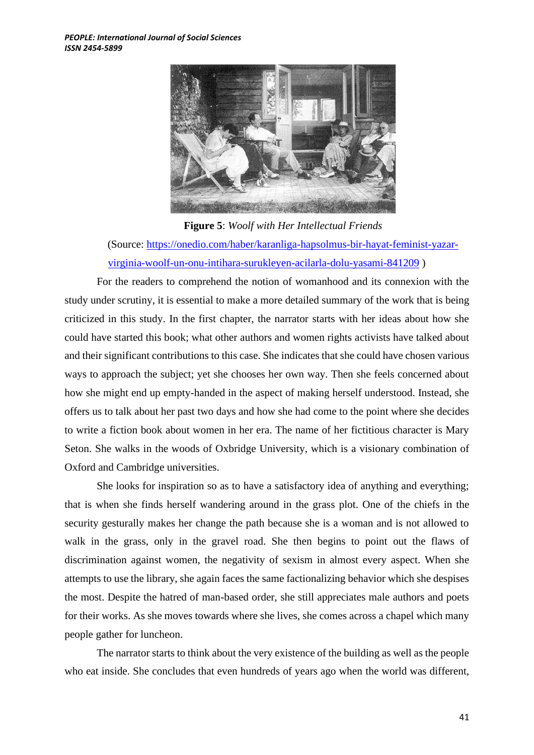

**Figure 5**: *Woolf with Her Intellectual Friends* (Source: [https://onedio.com/haber/karanliga-hapsolmus-bir-hayat-feminist-yazar](https://onedio.com/haber/karanliga-hapsolmus-bir-hayat-feminist-yazar-virginia-woolf-un-onu-intihara-surukleyen-acilarla-dolu-yasami-841209)[virginia-woolf-un-onu-intihara-surukleyen-acilarla-dolu-yasami-841209](https://onedio.com/haber/karanliga-hapsolmus-bir-hayat-feminist-yazar-virginia-woolf-un-onu-intihara-surukleyen-acilarla-dolu-yasami-841209) )

For the readers to comprehend the notion of womanhood and its connexion with the study under scrutiny, it is essential to make a more detailed summary of the work that is being criticized in this study. In the first chapter, the narrator starts with her ideas about how she could have started this book; what other authors and women rights activists have talked about and their significant contributions to this case. She indicates that she could have chosen various ways to approach the subject; yet she chooses her own way. Then she feels concerned about how she might end up empty-handed in the aspect of making herself understood. Instead, she offers us to talk about her past two days and how she had come to the point where she decides to write a fiction book about women in her era. The name of her fictitious character is Mary Seton. She walks in the woods of Oxbridge University, which is a visionary combination of Oxford and Cambridge universities.

She looks for inspiration so as to have a satisfactory idea of anything and everything; that is when she finds herself wandering around in the grass plot. One of the chiefs in the security gesturally makes her change the path because she is a woman and is not allowed to walk in the grass, only in the gravel road. She then begins to point out the flaws of discrimination against women, the negativity of sexism in almost every aspect. When she attempts to use the library, she again faces the same factionalizing behavior which she despises the most. Despite the hatred of man-based order, she still appreciates male authors and poets for their works. As she moves towards where she lives, she comes across a chapel which many people gather for luncheon.

The narrator starts to think about the very existence of the building as well as the people who eat inside. She concludes that even hundreds of years ago when the world was different,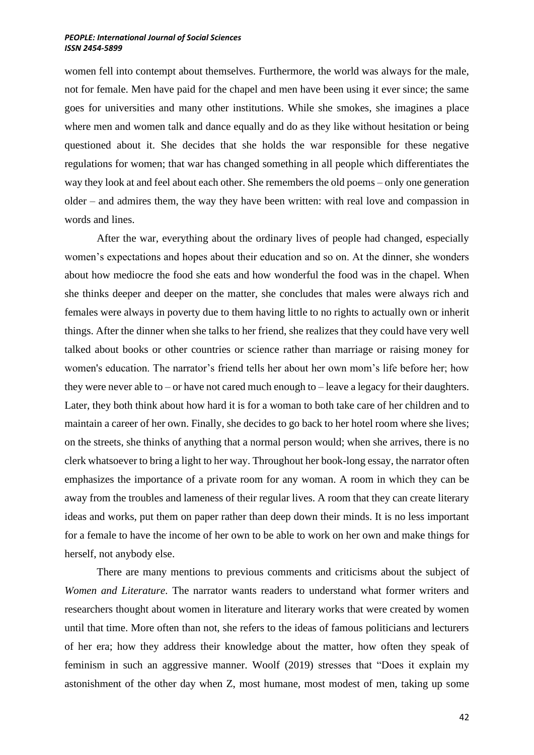women fell into contempt about themselves. Furthermore, the world was always for the male, not for female. Men have paid for the chapel and men have been using it ever since; the same goes for universities and many other institutions. While she smokes, she imagines a place where men and women talk and dance equally and do as they like without hesitation or being questioned about it. She decides that she holds the war responsible for these negative regulations for women; that war has changed something in all people which differentiates the way they look at and feel about each other. She remembers the old poems – only one generation older – and admires them, the way they have been written: with real love and compassion in words and lines.

After the war, everything about the ordinary lives of people had changed, especially women's expectations and hopes about their education and so on. At the dinner, she wonders about how mediocre the food she eats and how wonderful the food was in the chapel. When she thinks deeper and deeper on the matter, she concludes that males were always rich and females were always in poverty due to them having little to no rights to actually own or inherit things. After the dinner when she talks to her friend, she realizes that they could have very well talked about books or other countries or science rather than marriage or raising money for women's education. The narrator's friend tells her about her own mom's life before her; how they were never able to – or have not cared much enough to – leave a legacy for their daughters. Later, they both think about how hard it is for a woman to both take care of her children and to maintain a career of her own. Finally, she decides to go back to her hotel room where she lives; on the streets, she thinks of anything that a normal person would; when she arrives, there is no clerk whatsoever to bring a light to her way. Throughout her book-long essay, the narrator often emphasizes the importance of a private room for any woman. A room in which they can be away from the troubles and lameness of their regular lives. A room that they can create literary ideas and works, put them on paper rather than deep down their minds. It is no less important for a female to have the income of her own to be able to work on her own and make things for herself, not anybody else.

 There are many mentions to previous comments and criticisms about the subject of *Women and Literature*. The narrator wants readers to understand what former writers and researchers thought about women in literature and literary works that were created by women until that time. More often than not, she refers to the ideas of famous politicians and lecturers of her era; how they address their knowledge about the matter, how often they speak of feminism in such an aggressive manner. Woolf (2019) stresses that "Does it explain my astonishment of the other day when Z, most humane, most modest of men, taking up some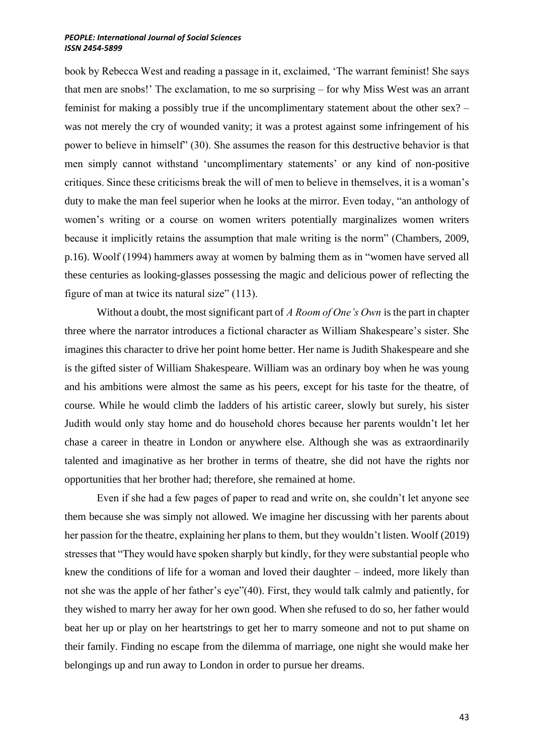book by Rebecca West and reading a passage in it, exclaimed, 'The warrant feminist! She says that men are snobs!' The exclamation, to me so surprising – for why Miss West was an arrant feminist for making a possibly true if the uncomplimentary statement about the other sex? – was not merely the cry of wounded vanity; it was a protest against some infringement of his power to believe in himself" (30). She assumes the reason for this destructive behavior is that men simply cannot withstand 'uncomplimentary statements' or any kind of non-positive critiques. Since these criticisms break the will of men to believe in themselves, it is a woman's duty to make the man feel superior when he looks at the mirror. Even today, "an anthology of women's writing or a course on women writers potentially marginalizes women writers because it implicitly retains the assumption that male writing is the norm" (Chambers, 2009, p.16). Woolf (1994) hammers away at women by balming them as in "women have served all these centuries as looking-glasses possessing the magic and delicious power of reflecting the figure of man at twice its natural size" (113).

Without a doubt, the most significant part of *A Room of One's Own* is the part in chapter three where the narrator introduces a fictional character as William Shakespeare's sister. She imagines this character to drive her point home better. Her name is Judith Shakespeare and she is the gifted sister of William Shakespeare. William was an ordinary boy when he was young and his ambitions were almost the same as his peers, except for his taste for the theatre, of course. While he would climb the ladders of his artistic career, slowly but surely, his sister Judith would only stay home and do household chores because her parents wouldn't let her chase a career in theatre in London or anywhere else. Although she was as extraordinarily talented and imaginative as her brother in terms of theatre, she did not have the rights nor opportunities that her brother had; therefore, she remained at home.

Even if she had a few pages of paper to read and write on, she couldn't let anyone see them because she was simply not allowed. We imagine her discussing with her parents about her passion for the theatre, explaining her plans to them, but they wouldn't listen. Woolf (2019) stresses that "They would have spoken sharply but kindly, for they were substantial people who knew the conditions of life for a woman and loved their daughter – indeed, more likely than not she was the apple of her father's eye"(40). First, they would talk calmly and patiently, for they wished to marry her away for her own good. When she refused to do so, her father would beat her up or play on her heartstrings to get her to marry someone and not to put shame on their family. Finding no escape from the dilemma of marriage, one night she would make her belongings up and run away to London in order to pursue her dreams.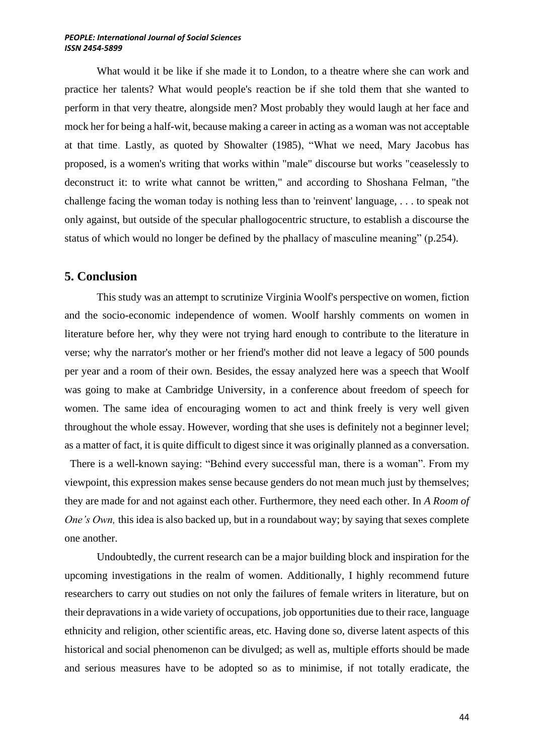What would it be like if she made it to London, to a theatre where she can work and practice her talents? What would people's reaction be if she told them that she wanted to perform in that very theatre, alongside men? Most probably they would laugh at her face and mock her for being a half-wit, because making a career in acting as a woman was not acceptable at that time. Lastly, as quoted by Showalter (1985), "What we need, Mary Jacobus has proposed, is a women's writing that works within "male" discourse but works "ceaselessly to deconstruct it: to write what cannot be written," and according to Shoshana Felman, "the challenge facing the woman today is nothing less than to 'reinvent' language, . . . to speak not only against, but outside of the specular phallogocentric structure, to establish a discourse the status of which would no longer be defined by the phallacy of masculine meaning" (p.254).

### **5. Conclusion**

 This study was an attempt to scrutinize Virginia Woolf's perspective on women, fiction and the socio-economic independence of women. Woolf harshly comments on women in literature before her, why they were not trying hard enough to contribute to the literature in verse; why the narrator's mother or her friend's mother did not leave a legacy of 500 pounds per year and a room of their own. Besides, the essay analyzed here was a speech that Woolf was going to make at Cambridge University, in a conference about freedom of speech for women. The same idea of encouraging women to act and think freely is very well given throughout the whole essay. However, wording that she uses is definitely not a beginner level; as a matter of fact, it is quite difficult to digest since it was originally planned as a conversation.

 There is a well-known saying: "Behind every successful man, there is a woman". From my viewpoint, this expression makes sense because genders do not mean much just by themselves; they are made for and not against each other. Furthermore, they need each other. In *A Room of One's Own*, this idea is also backed up, but in a roundabout way; by saying that sexes complete one another.

Undoubtedly, the current research can be a major building block and inspiration for the upcoming investigations in the realm of women. Additionally, I highly recommend future researchers to carry out studies on not only the failures of female writers in literature, but on their depravations in a wide variety of occupations, job opportunities due to their race, language ethnicity and religion, other scientific areas, etc. Having done so, diverse latent aspects of this historical and social phenomenon can be divulged; as well as, multiple efforts should be made and serious measures have to be adopted so as to minimise, if not totally eradicate, the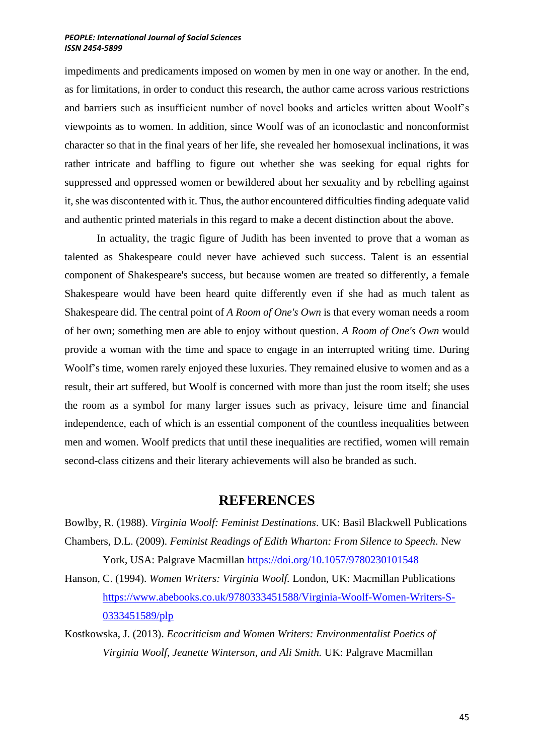impediments and predicaments imposed on women by men in one way or another. In the end, as for limitations, in order to conduct this research, the author came across various restrictions and barriers such as insufficient number of novel books and articles written about Woolf's viewpoints as to women. In addition, since Woolf was of an iconoclastic and nonconformist character so that in the final years of her life, she revealed her homosexual inclinations, it was rather intricate and baffling to figure out whether she was seeking for equal rights for suppressed and oppressed women or bewildered about her sexuality and by rebelling against it, she was discontented with it. Thus, the author encountered difficulties finding adequate valid and authentic printed materials in this regard to make a decent distinction about the above.

In actuality, the tragic figure of Judith has been invented to prove that a woman as talented as Shakespeare could never have achieved such success. Talent is an essential component of Shakespeare's success, but because women are treated so differently, a female Shakespeare would have been heard quite differently even if she had as much talent as Shakespeare did. The central point of *A Room of One's Own* is that every woman needs a room of her own; something men are able to enjoy without question. *A Room of One's Own* would provide a woman with the time and space to engage in an interrupted writing time. During Woolf's time, women rarely enjoyed these luxuries. They remained elusive to women and as a result, their art suffered, but Woolf is concerned with more than just the room itself; she uses the room as a symbol for many larger issues such as privacy, leisure time and financial independence, each of which is an essential component of the countless inequalities between men and women. Woolf predicts that until these inequalities are rectified, women will remain second-class citizens and their literary achievements will also be branded as such.

## **REFERENCES**

Bowlby, R. (1988). *Virginia Woolf: Feminist Destinations*. UK: Basil Blackwell Publications Chambers, D.L. (2009). *Feminist Readings of Edith Wharton: From Silence to Speech*. New

York, USA: Palgrave Macmillan<https://doi.org/10.1057/9780230101548>

- Hanson, C. (1994). *Women Writers: Virginia Woolf.* London, UK: Macmillan Publications [https://www.abebooks.co.uk/9780333451588/Virginia-Woolf-Women-Writers-S-](https://www.abebooks.co.uk/9780333451588/Virginia-Woolf-Women-Writers-S-0333451589/plp)[0333451589/plp](https://www.abebooks.co.uk/9780333451588/Virginia-Woolf-Women-Writers-S-0333451589/plp)
- Kostkowska, J. (2013). *Ecocriticism and Women Writers: Environmentalist Poetics of Virginia Woolf, Jeanette Winterson, and Ali Smith.* UK: Palgrave Macmillan